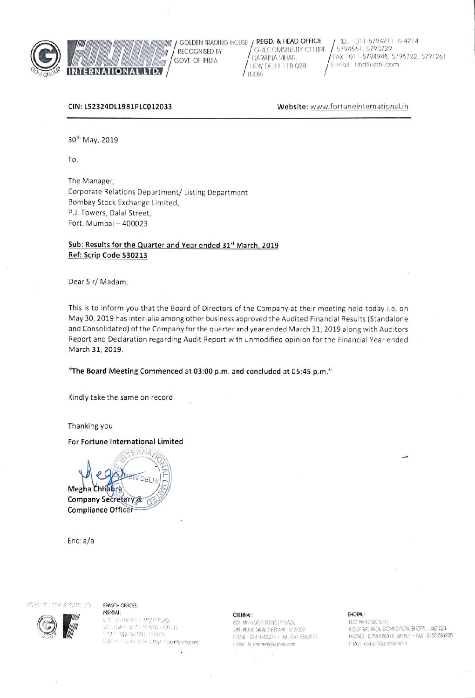

**RECOGNISED BY** W GOVT. OF INDIA mm **INTERNATIONAL LTD.** 

GOLDEN TRADING HOUSE / REGD. & HEAD OFFICE G-4.COMMUNITY CENTRE NARAINA VIHAR. NEW DELHI-110 028 **INDIA** 

IEL: 011-5794211 To 4214 5794561, 5790729 FAX: 011-5794948, 5796722, 5791261 E-mail: filnd@vsnl.com

### CIN: L52324DL1981PLC012033

Website: www.fortuneinternational.in

30<sup>th</sup> May, 2019

To,

The Manager, Corporate Relations Department/ Listing Department Bombay Stock Exchange Limited, P.J. Towers, Dalal Street, Fort, Mumbai - 400023

## Sub: Results for the Quarter and Year ended 31<sup>st</sup> March, 2019 Ref: Scrip Code 530213

Dear Sir/Madam,

This is to inform you that the Board of Directors of the Company at their meeting held today i.e. on May 30, 2019 has inter-alia among other business approved the Audited Financial Results (Standalone and Consolidated) of the Company for the quarter and year ended March 31, 2019 along with Auditors Report and Declaration regarding Audit Report with unmodified opinion for the Financial Year ended March 31, 2019.

### "The Board Meeting Commenced at 03:00 p.m. and concluded at 05:45 p.m."

Kindly take the same on record.

Thanking you

### For Fortune International Limited

 $ERNA$ DFI Megha Chhabra Company Secretary & **Compliance Officer** 

Enc: a/a

#### **FORE'S LIFRIATOIAL ID.**

### **BRANCH OFFICES:**

: LASNIUM 6.16. HV HINANO IP MOSES POAD.  $\langle \mathcal{E}_\varepsilon \cup \cup \delta \in \mathcal{E}, \mathcal{U}^{\varepsilon,\varepsilon}_\varepsilon \cap \Theta, \forall \delta \delta \in \mathcal{E}(f) \cap \mathbb{I} \}$  $C \in \mathcal{U} \cap \mathcal{U} \cap \{1, 2, 3, 5, 6, 1, 9\}$ IEEF / FL2 4V 8114 EMph. texxm@vracom

#### CHENNAI:

606, 6th FLOOR, SPENCER PLAZA 769. ANNAI SALAI, CHENNAI - 600 002 PHONE : 044-8552274 + FAX : 044-8550629 E-Mail: fill chiennal@yahoo.com

#### **BHOPAL:**

PLOT 86 92 SECTOR ! INDUSTRIAL AREA, GOVIND PURA, BHOPAL - 462 023. PHONE3 0755-586313, 584501 · FAX : 0755-583935 E Mail: eelopil@sancharnetin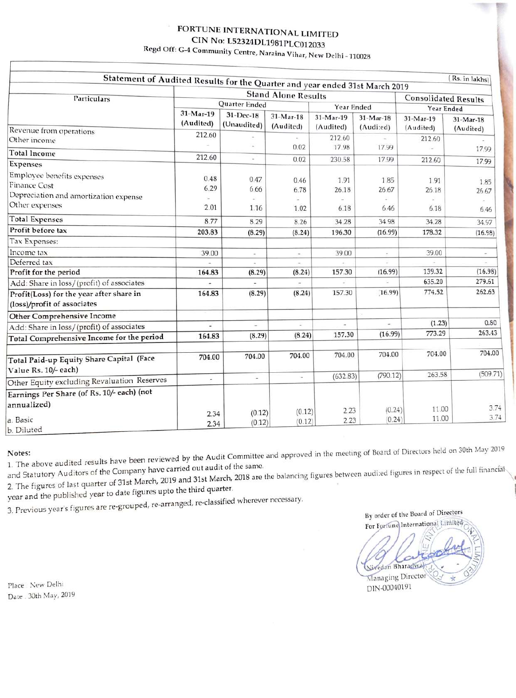# FORTUNE INTERNATIONAL LIMITED CIN No: L52324DL1981PLC012033 Regd Off: G-4 Community Centre, Naraina Vihar, New Delhi - 110028

|                                                                                                              |                                                                                                           |                          |                        |                          |                          |                                           | (Rs. in lakhs)        |
|--------------------------------------------------------------------------------------------------------------|-----------------------------------------------------------------------------------------------------------|--------------------------|------------------------|--------------------------|--------------------------|-------------------------------------------|-----------------------|
|                                                                                                              | Statement of Audited Results for the Quarter and year ended 31st March 2019<br><b>Stand Alone Results</b> |                          |                        |                          |                          |                                           |                       |
| Particulars                                                                                                  | Quarter Ended                                                                                             |                          |                        | Year Ended               |                          | <b>Consolidated Results</b><br>Year Ended |                       |
|                                                                                                              | $31-Mar-19$<br>(Audited)                                                                                  | 31-Dec-18<br>(Unaudited) | 31-Mar-18<br>(Audited) | $31-Mar-19$<br>(Audited) | $31-Mar-18$<br>(Audited) | $31-Mar-19$<br>(Audited)                  | 31-Mar-18             |
| Revenue from operations<br>Other income                                                                      | 212.60                                                                                                    |                          | 0.02                   | 212.60<br>17.98          | 17.99                    | 212.60                                    | (Audited)             |
| <b>Total Income</b>                                                                                          | 212.60                                                                                                    | $\omega$                 |                        |                          |                          |                                           | 17.99                 |
| <b>Expenses</b>                                                                                              |                                                                                                           |                          | 0.02                   | 230.58                   | 17.99                    | 212.60                                    | 17.99                 |
| Employee benefits expenses<br><b>Finance Cost</b><br>Depreciation and amortization expense<br>Other expenses | 0.48<br>6.29<br>2.01                                                                                      | 0.47<br>6.66<br>1.16     | 0.46<br>6.78<br>1.02   | 1.91<br>26.18<br>6.18    | 1.85<br>26.67<br>6.46    | 1.91<br>26.18<br>6.18                     | 1.85<br>26.67<br>6.46 |
| <b>Total Expenses</b>                                                                                        | 8.77                                                                                                      | 8.29                     | 8.26                   | 34.28                    | 34.98                    | 34.28                                     | 34.97                 |
| Profit before tax                                                                                            | 203.83                                                                                                    | (8.29)                   | (8.24)                 | 196.30                   | (16.99)                  | 178.32                                    | (16.98)               |
| Tax Expenses:                                                                                                |                                                                                                           |                          |                        |                          |                          |                                           |                       |
| Income tax                                                                                                   | 39.00                                                                                                     | $\rightarrow$            | $\sim$                 | 39.00                    |                          | 39.00                                     |                       |
| Deferred tax                                                                                                 |                                                                                                           |                          |                        |                          |                          |                                           |                       |
| Profit for the period                                                                                        | 164.83                                                                                                    | (8.29)                   | (8.24)                 | 157.30                   | (16.99)                  | 139.32                                    | (16.98)               |
| Add: Share in loss/(profit) of associates                                                                    |                                                                                                           |                          |                        |                          |                          | 635.20                                    | 279.61                |
| Profit(Loss) for the year after share in<br>(loss)/profit of associates                                      | 164.83                                                                                                    | (8.29)                   | (8.24)                 | 157.30                   | (16.99)                  | 774.52                                    | 262.63                |
| Other Comprehensive Income                                                                                   |                                                                                                           |                          |                        |                          |                          |                                           |                       |
| Add: Share in loss/(profit) of associates                                                                    |                                                                                                           | u.                       | E                      | ä,                       | i.                       | (1.23)                                    | 0.80                  |
| Total Comprehensive Income for the period                                                                    | 164.83                                                                                                    | (8.29)                   | (8.24)                 | 157.30                   | (16.99)                  | 773.29                                    | 263.43                |
| Total Paid-up Equity Share Capital (Face<br>Value Rs. 10/- each)                                             | 704.00                                                                                                    | 704.00                   | 704.00                 | 704.00                   | 704.00                   | 704.00                                    | 704.00                |
| Other Equity excluding Revaluation Reserves                                                                  | ÷                                                                                                         | s.                       | à.                     | (632.83)                 | (790.12)                 | 263.58                                    | (509.71)              |
| Earnings Per Share (of Rs. 10/- each) (not<br>annualized)                                                    |                                                                                                           |                          |                        |                          | (0.24)                   | 11.00                                     | 3.74                  |
| a. Basic<br>h Diluted                                                                                        | 2.34<br>2.34                                                                                              | (0.12)<br>(0.12)         | (0.12)<br>(0.12)       | 2.23<br>2.23             | (0.24)                   | 11.00                                     | 3.74                  |

1. The above audited results have been reviewed by the Audit Committee and approved in the meeting of Board of Directors held on 30th May 2019 and Statutory Auditors of the Company have carried out audit of the same.

2. The figures of last quarter of 31st March, 2019 and 31st March, 2018 are the balancing figures between audited figures in respect of the full financial year and the published year to date figures upto the third quarter.

3. Previous year's figures are re-grouped, re-arranged, re-classified wherever necessary.

By order of the Board of Directors For Fortune International Limited Nivedan Bharadway Managing Director DIN-00040191

Place New Delhi Date: 30th May, 2019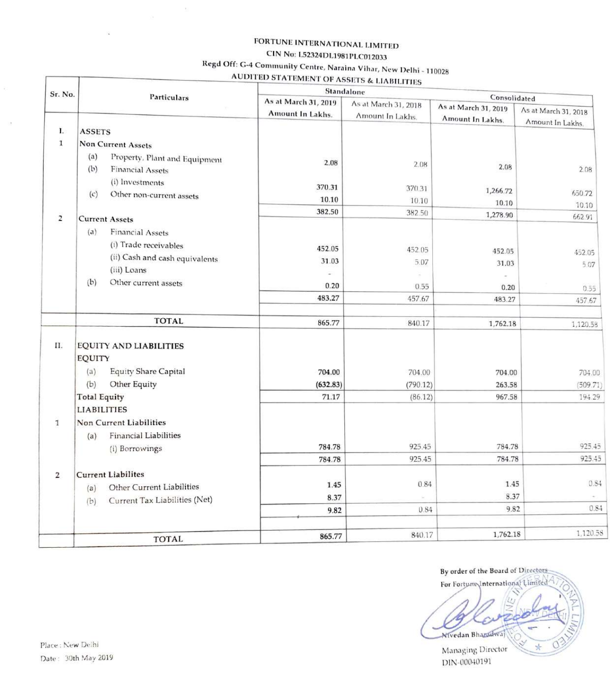# FORTUNE INTERNATIONAL LIMITED CIN No: L52324DL1981PLC012033

# Regd Off: G-4 Community Centre, Naraina Vihar, New Delhi - 110028

**AUDITED STATEMENT OF ASSETS & LIABILITIES** 

| Sr. No.        | Particulars                                                                                                                       | Standalone<br>Consolidated |                         |                           |                         |  |  |  |
|----------------|-----------------------------------------------------------------------------------------------------------------------------------|----------------------------|-------------------------|---------------------------|-------------------------|--|--|--|
|                |                                                                                                                                   | As at March 31, 2019       | As at March 31, 2018    | As at March 31, 2019      |                         |  |  |  |
|                |                                                                                                                                   | Amount In Lakhs.           | Amount In Lakhs.        | Amount In Lakhs.          | As at March 31, 2018    |  |  |  |
| L.             | <b>ASSETS</b>                                                                                                                     |                            |                         |                           | Amount In Lakhs.        |  |  |  |
| $\mathbf{I}$   | <b>Non Current Assets</b>                                                                                                         |                            |                         |                           |                         |  |  |  |
|                | (a)<br>Property, Plant and Equipment<br>(b)<br><b>Financial Assets</b><br>(i) Investments<br>(c)<br>Other non-current assets      | 2.08<br>370.31<br>10.10    | 2.08<br>370.31<br>10.10 | 2.08<br>1,266.72<br>10.10 | 2.08<br>650.72<br>10.10 |  |  |  |
| 2              |                                                                                                                                   | 382.50                     | 382.50                  | 1,278.90                  | 662.91                  |  |  |  |
|                | <b>Current Assets</b><br>(a)<br><b>Financial Assets</b><br>(i) Trade receivables<br>(ii) Cash and cash equivalents<br>(iii) Loans | 452.05<br>31.03            | 452.05<br>5.07          | 452.05<br>31.03           | 452.05<br>5.07          |  |  |  |
|                | (b)<br>Other current assets                                                                                                       | 0.20                       | 0.55                    | 0.20                      | 0.55                    |  |  |  |
|                |                                                                                                                                   | 483.27                     | 457.67                  | 483.27                    | 457.67                  |  |  |  |
|                | <b>TOTAL</b>                                                                                                                      | 865.77                     | 840.17                  | 1,762.18                  | 1,120.58                |  |  |  |
| II.            | EQUITY AND LIABILITIES<br><b>EQUITY</b><br><b>Equity Share Capital</b><br>(a)<br>(b)<br>Other Equity                              | 704.00<br>(632.83)         | 704.00<br>(790.12)      | 704.00<br>263.58          | 704.00<br>(509.71)      |  |  |  |
|                | <b>Total Equity</b>                                                                                                               | 71.17                      | (86.12)                 | 967.58                    | 194.29                  |  |  |  |
| $\mathbf 1$    | <b>LIABILITIES</b><br><b>Non Current Liabilities</b>                                                                              |                            |                         |                           |                         |  |  |  |
|                | <b>Financial Liabilities</b><br>(a)<br>(i) Borrowings                                                                             | 784.78                     | 925.45                  | 784.78                    | 925.45                  |  |  |  |
|                |                                                                                                                                   | 784.78                     | 925.45                  | 784.78                    | 925.45                  |  |  |  |
| $\overline{2}$ | <b>Current Liabilites</b><br>Other Current Liabilities<br>(a)<br>Current Tax Liabilities (Net)<br>(b)                             | 1.45<br>8.37<br>9.82       | 0.84<br>0.84            | 1.45<br>8.37<br>9.82      | 0.84<br>0.84            |  |  |  |
|                |                                                                                                                                   |                            |                         |                           | 1,120.58                |  |  |  |
|                | <b>TOTAL</b>                                                                                                                      | 865.77                     | 840.17                  | 1,762.18                  |                         |  |  |  |

By order of the Board of Directors For Fortune International Limited Nivedan Bhazadwaj Managing Director DIN-00040191

T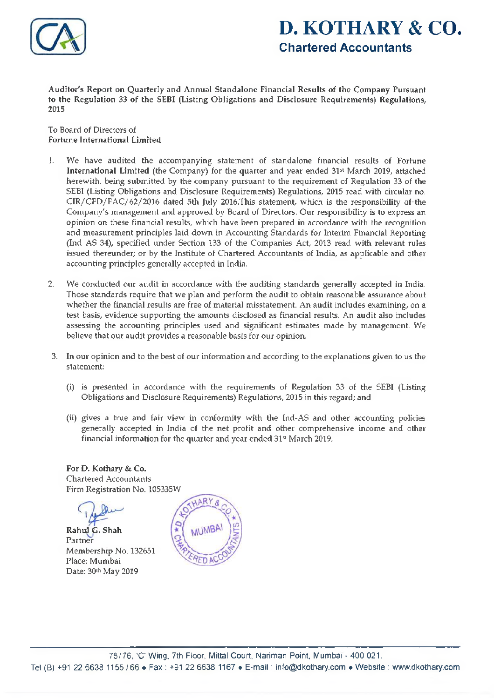

# **D. KOTHARY & CO. Chartered Accountants**

Auditor's Report on Quarterly and Annual Standalone Financial Results of the Company Pursuant to the Regulation 33 of the SEBI (Listing Obligations and Disclosure Requirements) Regulations, 2015

To Board of Directors of Fortune International Limited

- 1. We have audited the accompanying statement of standalone financial results of Fortune International Limited (the Company) for the quarter and year ended 31st March 2019, attached herewith, being submitted by the company pursuant to the requirement of Regulation 33 of the SEBI (Listing Obligations and Disclosure Requirements) Regulations, 2015 read with circular no. CIR/CFD/FAC/62/2016 dated 5th July 2016.This statement, which is the responsibility of the Company's management and approved by Board of Directors. Our responsibility is to express an opinion on these financial results, which have been prepared in accordance with the recognition and measurement principles laid down in Accounting Standards for Interim Financial Reporting (Ind AS 34), specified under Section 133 of the Companies Act, 2013 read with relevant rules issued thereunder; or by the Institute of Chartered Accountants of India, as applicable and other accounting principles generally accepted in India.
- 2. We conducted our audit in accordance with the auditing standards generally accepted in India. Those standards require that we plan and perform the audit to obtain reasonable assurance about whether the financial results are free of material misstatement. An audit includes examining, on a test basis, evidence supporting the amounts disclosed as financial results. An audit also includes assessing the accounting principles used and significant estimates made by management. We believe that our audit provides a reasonable basis for our opinion.
- 3. In our opinion and to the best of our information and according to the explanations given to us the statement:
	- (i) is presented in accordance with the requirements of Regulation 33 of the SEBI (Listing Obligations and Disclosure Requirements) Regulations, 2015 in this regard; and
	- (ii) gives a true and fair view in conformity with the Ind-AS and other accounting policies generally accepted in India of the net profit and other comprehensive income and other financial information for the quarter and year ended 31st March 2019.

For D. Kothary & Co. Chartered Accountants Firm Registration No. 105335W

Rahul G. Shah

Partner Membership No. 132651 Place: Mumbai Date: 30th May 2019

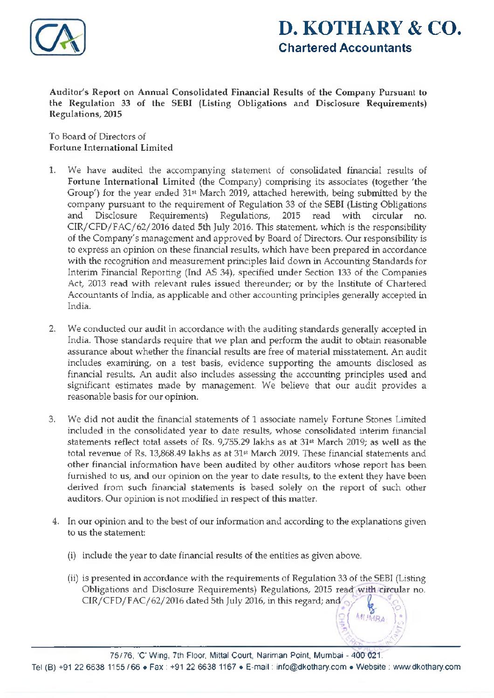

# **D. KOTHARY & CO.** Chartered Accountants

j *Mumbai }'£*  $\mathcal{A}^*$  and  $\mathcal{A}^*$  are all  $\mathcal{A}^*$  and  $\mathcal{A}^*$ 

**Ayy** 

Auditor's Report on Annual Consolidated Financial Results of the Company Pursuant to the Regulation 33 of the SEBI (Listing Obligations and Disclosure Requirements) Regulations, 2015

To Board of Directors of Fortune International Limited

- 1. We have audited the accompanying statement of consolidated financial results of Fortune International Limited (the Company) comprising its associates (together 'the Group') for the year ended 31st March 2019, attached herewith, being submitted by the company pursuant to the requirement of Regulation 33 of the SEBI (Listing Obligations and Disclosure Requirements) Regulations, 2015 read with circular no. CIR/CFD/FAC/62/2016 dated 5th July 2016. This statement, which is the responsibility of the Company's management and approved by Board of Directors. Our responsibility is to express an opinion on these financial results, which have been prepared in accordance with the recognition and measurement principles laid down in Accounting Standards for Interim Financial Reporting (Ind AS 34), specified under Section 133 of the Companies Act, 2013 read with relevant rules issued thereunder; or by the Institute of Chartered Accountants of India, as applicable and other accounting principles generally accepted in India.
- 2. We conducted our audit in accordance with the auditing standards generally accepted in India. Those standards require that we plan and perform the audit to obtain reasonable assurance about whether the financial results are free of material misstatement. An audit includes examining, on a test basis, evidence supporting the amounts disclosed as financial results. An audit also includes assessing the accounting principles used and significant estimates made by management. We believe that our audit provides a reasonable basis for our opinion.
- 3. We did not audit the financial statements of 1 associate namely Fortune Stones Limited included in the consolidated year to date results, whose consolidated interim financial statements reflect total assets of Rs. 9,755.29 lakhs as at 31st March 2019; as well as the total revenue of Rs. 13,868.49 lakhs as at 31st March 2019. These financial statements and other financial information have been audited by other auditors whose report has been furnished to us, and our opinion on the year to date results, to the extent they have been derived from such financial statements is based solely on the report of such other auditors. Our opinion is not modified in respect of this matter.
- 4. In our opinion and to the best of our information and according to the explanations given to us the statement:
	- (i) include the year to date financial results of the entities as given above.
	- (ii) is presented in accordance with the requirements of Regulation 33 of the SEBI (Listing Obligations and Disclosure Requirements) Regulations, 2015 read with circular no. CIR/CFD/FAC/62/2016 dated 5th July 2016, in this regard; and  $\circ$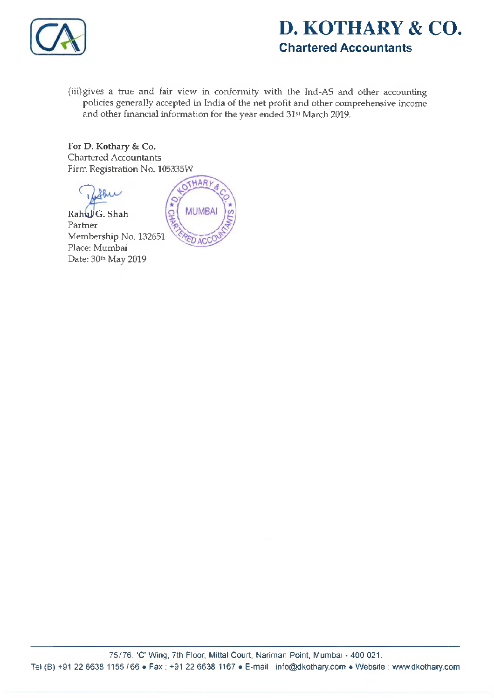

# **D. KOTHARY & CO.** Chartered Accountants

(iii) gives a true and fair view in conformity with the Ind-AS and other accounting policies generally accepted in India of the net profit and other comprehensive income and other financial information for the year ended 31st March 2019.

For D. Kothary & Co. Chartered Accountants Firm Registration No. 105335W